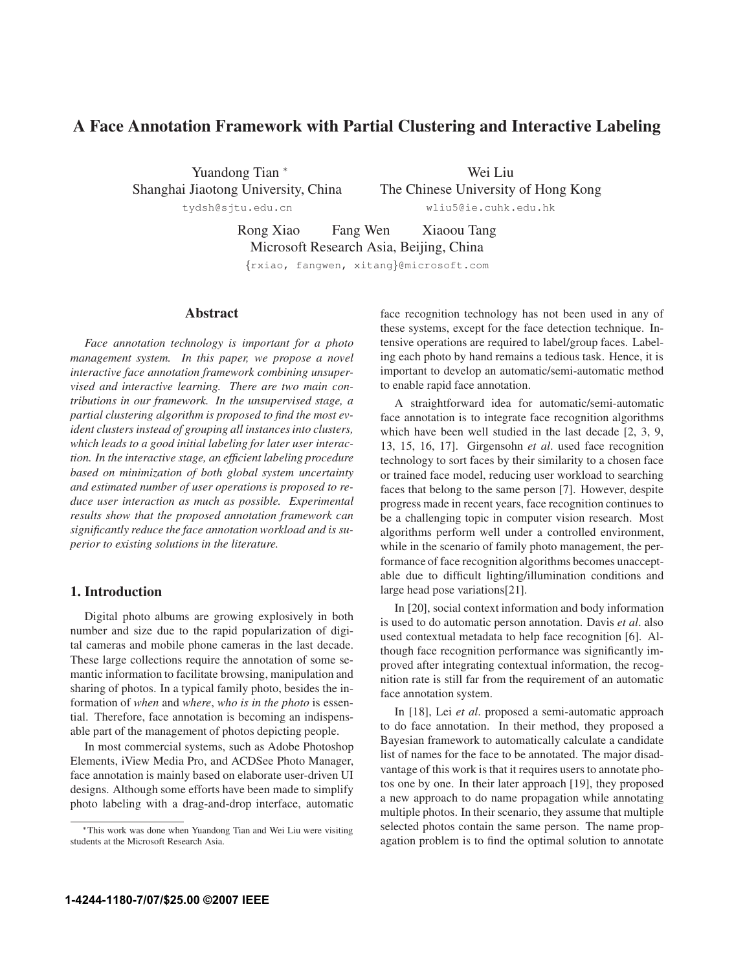# **A Face Annotation Framework with Partial Clustering and Interactive Labeling**

Yuandong Tian <sup>∗</sup> Shanghai Jiaotong University, China tydsh@sjtu.edu.cn

Wei Liu The Chinese University of Hong Kong wliu5@ie.cuhk.edu.hk

Rong Xiao Fang Wen Xiaoou Tang Microsoft Research Asia, Beijing, China {rxiao, fangwen, xitang}@microsoft.com

## **Abstract**

*Face annotation technology is important for a photo management system. In this paper, we propose a novel interactive face annotation framework combining unsupervised and interactive learning. There are two main contributions in our framework. In the unsupervised stage, a partial clustering algorithm is proposed to find the most evident clusters instead of grouping all instances into clusters, which leads to a good initial labeling for later user interaction. In the interactive stage, an efficient labeling procedure based on minimization of both global system uncertainty and estimated number of user operations is proposed to reduce user interaction as much as possible. Experimental results show that the proposed annotation framework can significantly reduce the face annotation workload and is superior to existing solutions in the literature.*

### **1. Introduction**

Digital photo albums are growing explosively in both number and size due to the rapid popularization of digital cameras and mobile phone cameras in the last decade. These large collections require the annotation of some semantic information to facilitate browsing, manipulation and sharing of photos. In a typical family photo, besides the information of *when* and *where*, *who is in the photo* is essential. Therefore, face annotation is becoming an indispensable part of the management of photos depicting people.

In most commercial systems, such as Adobe Photoshop Elements, iView Media Pro, and ACDSee Photo Manager, face annotation is mainly based on elaborate user-driven UI designs. Although some efforts have been made to simplify photo labeling with a drag-and-drop interface, automatic

face recognition technology has not been used in any of these systems, except for the face detection technique. Intensive operations are required to label/group faces. Labeling each photo by hand remains a tedious task. Hence, it is important to develop an automatic/semi-automatic method to enable rapid face annotation.

A straightforward idea for automatic/semi-automatic face annotation is to integrate face recognition algorithms which have been well studied in the last decade [2, 3, 9, 13, 15, 16, 17]. Girgensohn *et al*. used face recognition technology to sort faces by their similarity to a chosen face or trained face model, reducing user workload to searching faces that belong to the same person [7]. However, despite progress made in recent years, face recognition continues to be a challenging topic in computer vision research. Most algorithms perform well under a controlled environment, while in the scenario of family photo management, the performance of face recognition algorithms becomes unacceptable due to difficult lighting/illumination conditions and large head pose variations[21].

In [20], social context information and body information is used to do automatic person annotation. Davis *et al*. also used contextual metadata to help face recognition [6]. Although face recognition performance was significantly improved after integrating contextual information, the recognition rate is still far from the requirement of an automatic face annotation system.

In [18], Lei *et al*. proposed a semi-automatic approach to do face annotation. In their method, they proposed a Bayesian framework to automatically calculate a candidate list of names for the face to be annotated. The major disadvantage of this work is that it requires users to annotate photos one by one. In their later approach [19], they proposed a new approach to do name propagation while annotating multiple photos. In their scenario, they assume that multiple selected photos contain the same person. The name propagation problem is to find the optimal solution to annotate

<sup>∗</sup>This work was done when Yuandong Tian and Wei Liu were visiting students at the Microsoft Research Asia.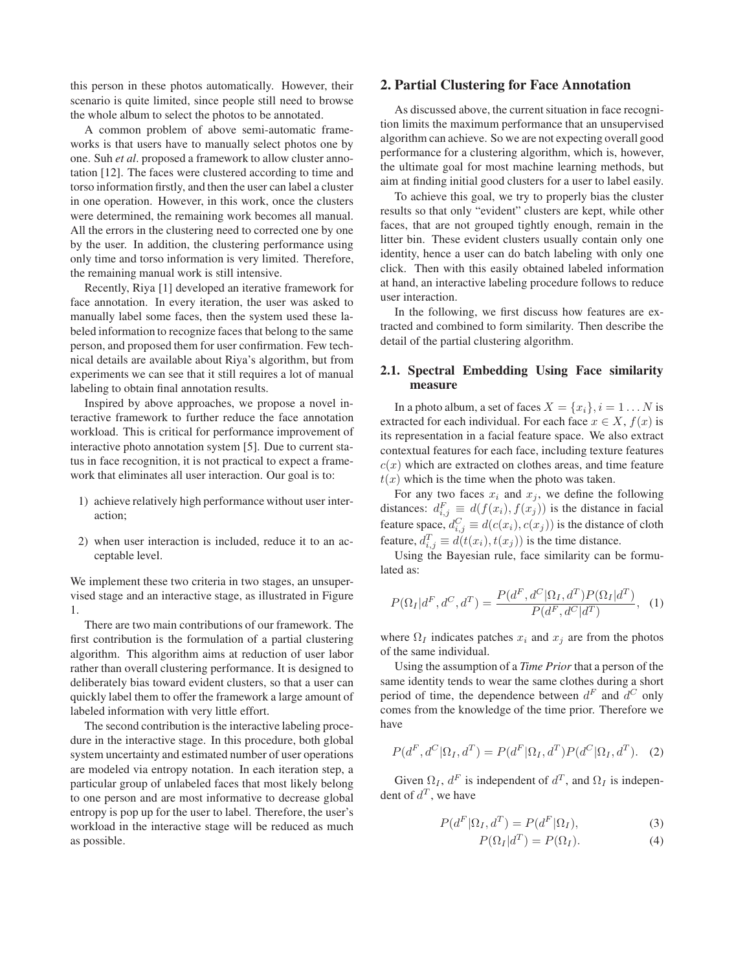this person in these photos automatically. However, their scenario is quite limited, since people still need to browse the whole album to select the photos to be annotated.

A common problem of above semi-automatic frameworks is that users have to manually select photos one by one. Suh *et al*. proposed a framework to allow cluster annotation [12]. The faces were clustered according to time and torso information firstly, and then the user can label a cluster in one operation. However, in this work, once the clusters were determined, the remaining work becomes all manual. All the errors in the clustering need to corrected one by one by the user. In addition, the clustering performance using only time and torso information is very limited. Therefore, the remaining manual work is still intensive.

Recently, Riya [1] developed an iterative framework for face annotation. In every iteration, the user was asked to manually label some faces, then the system used these labeled information to recognize faces that belong to the same person, and proposed them for user confirmation. Few technical details are available about Riya's algorithm, but from experiments we can see that it still requires a lot of manual labeling to obtain final annotation results.

Inspired by above approaches, we propose a novel interactive framework to further reduce the face annotation workload. This is critical for performance improvement of interactive photo annotation system [5]. Due to current status in face recognition, it is not practical to expect a framework that eliminates all user interaction. Our goal is to:

- 1) achieve relatively high performance without user interaction;
- 2) when user interaction is included, reduce it to an acceptable level.

We implement these two criteria in two stages, an unsupervised stage and an interactive stage, as illustrated in Figure 1.

There are two main contributions of our framework. The first contribution is the formulation of a partial clustering algorithm. This algorithm aims at reduction of user labor rather than overall clustering performance. It is designed to deliberately bias toward evident clusters, so that a user can quickly label them to offer the framework a large amount of labeled information with very little effort.

The second contribution is the interactive labeling procedure in the interactive stage. In this procedure, both global system uncertainty and estimated number of user operations are modeled via entropy notation. In each iteration step, a particular group of unlabeled faces that most likely belong to one person and are most informative to decrease global entropy is pop up for the user to label. Therefore, the user's workload in the interactive stage will be reduced as much as possible.

## **2. Partial Clustering for Face Annotation**

As discussed above, the current situation in face recognition limits the maximum performance that an unsupervised algorithm can achieve. So we are not expecting overall good performance for a clustering algorithm, which is, however, the ultimate goal for most machine learning methods, but aim at finding initial good clusters for a user to label easily.

To achieve this goal, we try to properly bias the cluster results so that only "evident" clusters are kept, while other faces, that are not grouped tightly enough, remain in the litter bin. These evident clusters usually contain only one identity, hence a user can do batch labeling with only one click. Then with this easily obtained labeled information at hand, an interactive labeling procedure follows to reduce user interaction.

In the following, we first discuss how features are extracted and combined to form similarity. Then describe the detail of the partial clustering algorithm.

## **2.1. Spectral Embedding Using Face similarity measure**

In a photo album, a set of faces  $X = \{x_i\}, i = 1 \dots N$  is extracted for each individual. For each face  $x \in X$ ,  $f(x)$  is its representation in a facial feature space. We also extract contextual features for each face, including texture features  $c(x)$  which are extracted on clothes areas, and time feature  $t(x)$  which is the time when the photo was taken.

For any two faces  $x_i$  and  $x_j$ , we define the following distances:  $d_{i,j}^F \equiv d(f(x_i), f(x_j))$  is the distance in facial feature space,  $d_{i,j}^C \equiv d(c(x_i), c(x_j))$  is the distance of cloth feature,  $d_{i,j}^T \equiv d(t(x_i), t(x_j))$  is the time distance.

Using the Bayesian rule, face similarity can be formulated as:

$$
P(\Omega_I|d^F, d^C, d^T) = \frac{P(d^F, d^C|\Omega_I, d^T)P(\Omega_I|d^T)}{P(d^F, d^C|d^T)}, \quad (1)
$$

where  $\Omega_I$  indicates patches  $x_i$  and  $x_j$  are from the photos of the same individual.

Using the assumption of a *Time Prior* that a person of the same identity tends to wear the same clothes during a short period of time, the dependence between  $d^F$  and  $d^C$  only comes from the knowledge of the time prior. Therefore we have

$$
P(d^F, d^C|\Omega_I, d^T) = P(d^F|\Omega_I, d^T)P(d^C|\Omega_I, d^T). \tag{2}
$$

Given  $\Omega_I$ ,  $d^F$  is independent of  $d^T$ , and  $\Omega_I$  is independent of  $d^T$ , we have

$$
P(d^F|\Omega_I, d^T) = P(d^F|\Omega_I),
$$
\n(3)

$$
P(\Omega_I|d^T) = P(\Omega_I). \tag{4}
$$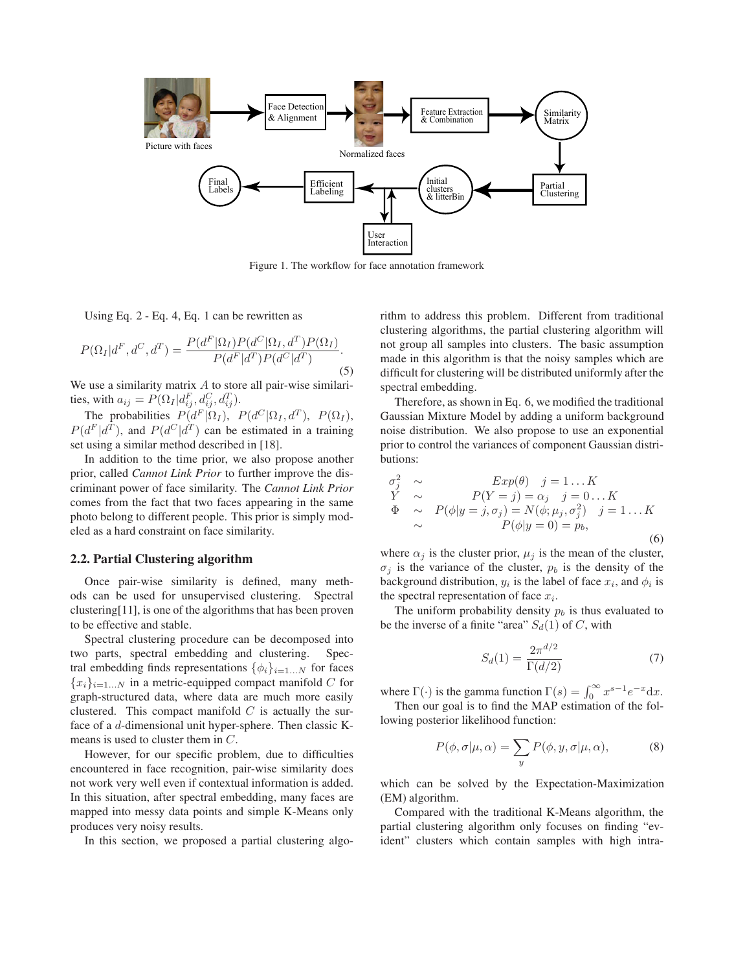

Figure 1. The workflow for face annotation framework

Using Eq. 2 - Eq. 4, Eq. 1 can be rewritten as

$$
P(\Omega_I|d^F, d^C, d^T) = \frac{P(d^F|\Omega_I)P(d^C|\Omega_I, d^T)P(\Omega_I)}{P(d^F|d^T)P(d^C|d^T)}.
$$
\n(5)

We use a similarity matrix  $A$  to store all pair-wise similarities, with  $a_{ij} = P(\Omega_I | d_{ij}^F, d_{ij}^C, d_{ij}^T)$ .

The probabilities  $P(d^F | \Omega_I)$ ,  $P(d^C | \Omega_I, d^T)$ ,  $P(\Omega_I)$ ,  $P(d^F | d^T)$ , and  $P(d^C | d^T)$  can be estimated in a training set using a similar method described in [18].

In addition to the time prior, we also propose another prior, called *Cannot Link Prior* to further improve the discriminant power of face similarity. The *Cannot Link Prior* comes from the fact that two faces appearing in the same photo belong to different people. This prior is simply modeled as a hard constraint on face similarity.

#### **2.2. Partial Clustering algorithm**

Once pair-wise similarity is defined, many methods can be used for unsupervised clustering. Spectral clustering[11], is one of the algorithms that has been proven to be effective and stable.

Spectral clustering procedure can be decomposed into two parts, spectral embedding and clustering. Spectral embedding finds representations  $\{\phi_i\}_{i=1...N}$  for faces  ${x_i}_{i=1...N}$  in a metric-equipped compact manifold C for graph-structured data, where data are much more easily clustered. This compact manifold  $C$  is actually the surface of a d-dimensional unit hyper-sphere. Then classic Kmeans is used to cluster them in C.

However, for our specific problem, due to difficulties encountered in face recognition, pair-wise similarity does not work very well even if contextual information is added. In this situation, after spectral embedding, many faces are mapped into messy data points and simple K-Means only produces very noisy results.

In this section, we proposed a partial clustering algo-

rithm to address this problem. Different from traditional clustering algorithms, the partial clustering algorithm will not group all samples into clusters. The basic assumption made in this algorithm is that the noisy samples which are difficult for clustering will be distributed uniformly after the spectral embedding.

Therefore, as shown in Eq. 6, we modified the traditional Gaussian Mixture Model by adding a uniform background noise distribution. We also propose to use an exponential prior to control the variances of component Gaussian distributions:

$$
\sigma_j^2 \sim Exp(\theta) \quad j = 1...K
$$
  
\n
$$
\begin{array}{ccc}\nY & \sim & P(Y = j) = \alpha_j & j = 0...K \\
\Phi & \sim & P(\phi|y = j, \sigma_j) = N(\phi; \mu_j, \sigma_j^2) & j = 1...K \\
\sim & P(\phi|y = 0) = p_b,\n\end{array}
$$
\n(6)

where  $\alpha_j$  is the cluster prior,  $\mu_j$  is the mean of the cluster,  $\sigma_j$  is the variance of the cluster,  $p_b$  is the density of the background distribution,  $y_i$  is the label of face  $x_i$ , and  $\phi_i$  is the spectral representation of face  $x_i$ .

The uniform probability density  $p_b$  is thus evaluated to be the inverse of a finite "area"  $S_d(1)$  of C, with

$$
S_d(1) = \frac{2\pi^{d/2}}{\Gamma(d/2)}
$$
 (7)

where  $\Gamma(\cdot)$  is the gamma function  $\Gamma(s) = \int_0^\infty x^{s-1} e^{-x} dx$ .

Then our goal is to find the MAP estimation of the following posterior likelihood function:

$$
P(\phi, \sigma | \mu, \alpha) = \sum_{y} P(\phi, y, \sigma | \mu, \alpha), \tag{8}
$$

which can be solved by the Expectation-Maximization (EM) algorithm.

Compared with the traditional K-Means algorithm, the partial clustering algorithm only focuses on finding "evident" clusters which contain samples with high intra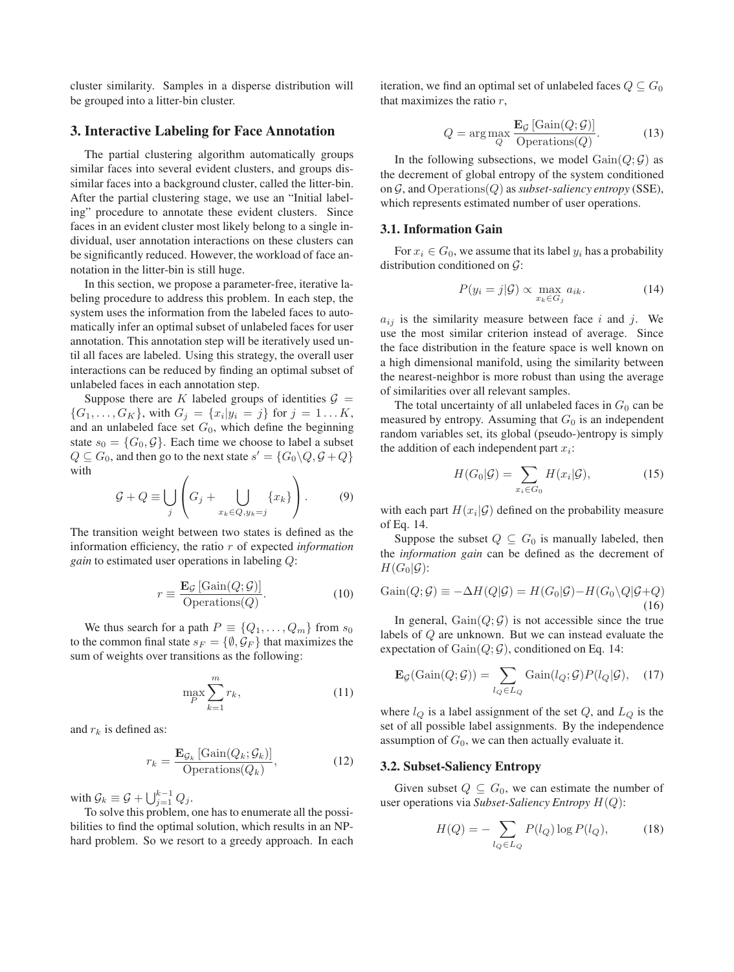cluster similarity. Samples in a disperse distribution will be grouped into a litter-bin cluster.

#### **3. Interactive Labeling for Face Annotation**

The partial clustering algorithm automatically groups similar faces into several evident clusters, and groups dissimilar faces into a background cluster, called the litter-bin. After the partial clustering stage, we use an "Initial labeling" procedure to annotate these evident clusters. Since faces in an evident cluster most likely belong to a single individual, user annotation interactions on these clusters can be significantly reduced. However, the workload of face annotation in the litter-bin is still huge.

In this section, we propose a parameter-free, iterative labeling procedure to address this problem. In each step, the system uses the information from the labeled faces to automatically infer an optimal subset of unlabeled faces for user annotation. This annotation step will be iteratively used until all faces are labeled. Using this strategy, the overall user interactions can be reduced by finding an optimal subset of unlabeled faces in each annotation step.

Suppose there are K labeled groups of identities  $\mathcal{G} =$  ${G_1, \ldots, G_K}$ , with  $G_j = {x_i|y_i = j}$  for  $j = 1...K$ , and an unlabeled face set  $G_0$ , which define the beginning state  $s_0 = \{G_0, G\}$ . Each time we choose to label a subset  $Q \subseteq G_0$ , and then go to the next state  $s' = \{G_0 \setminus Q, \mathcal{G} + Q\}$ with

$$
\mathcal{G} + Q \equiv \bigcup_{j} \left( G_j + \bigcup_{x_k \in Q, y_k = j} \{x_k\} \right). \tag{9}
$$

The transition weight between two states is defined as the information efficiency, the ratio r of expected *information gain* to estimated user operations in labeling Q:

$$
r \equiv \frac{\mathbf{E}_{\mathcal{G}}\left[\text{Gain}(Q; \mathcal{G})\right]}{\text{Operations}(Q)}.\tag{10}
$$

We thus search for a path  $P \equiv \{Q_1, \ldots, Q_m\}$  from  $s_0$ to the common final state  $s_F = \{\emptyset, \mathcal{G}_F\}$  that maximizes the sum of weights over transitions as the following:

$$
\max_{P} \sum_{k=1}^{m} r_k,
$$
\n(11)

and  $r_k$  is defined as:

$$
r_k = \frac{\mathbf{E}_{\mathcal{G}_k} \left[ \text{Gain}(Q_k; \mathcal{G}_k) \right]}{\text{Operations}(Q_k)},\tag{12}
$$

with  $\mathcal{G}_k \equiv \mathcal{G} + \bigcup_{j=1}^{k-1} Q_j$ .

To solve this problem, one has to enumerate all the possibilities to find the optimal solution, which results in an NPhard problem. So we resort to a greedy approach. In each iteration, we find an optimal set of unlabeled faces  $Q \subseteq G_0$ that maximizes the ratio  $r$ ,

$$
Q = \arg\max_{Q} \frac{\mathbf{E}_{\mathcal{G}}\left[\text{Gain}(Q; \mathcal{G})\right]}{\text{Operations}(Q)}.
$$
 (13)

In the following subsections, we model  $Gain(Q; \mathcal{G})$  as the decrement of global entropy of the system conditioned on G, and Operations(Q) as *subset-saliency entropy* (SSE), which represents estimated number of user operations.

#### **3.1. Information Gain**

For  $x_i \in G_0$ , we assume that its label  $y_i$  has a probability distribution conditioned on G:

$$
P(y_i = j | \mathcal{G}) \propto \max_{x_k \in G_j} a_{ik}.
$$
 (14)

 $a_{ij}$  is the similarity measure between face i and j. We use the most similar criterion instead of average. Since the face distribution in the feature space is well known on a high dimensional manifold, using the similarity between the nearest-neighbor is more robust than using the average of similarities over all relevant samples.

The total uncertainty of all unlabeled faces in  $G_0$  can be measured by entropy. Assuming that  $G_0$  is an independent random variables set, its global (pseudo-)entropy is simply the addition of each independent part  $x_i$ :

$$
H(G_0|\mathcal{G}) = \sum_{x_i \in G_0} H(x_i|\mathcal{G}), \tag{15}
$$

with each part  $H(x_i|\mathcal{G})$  defined on the probability measure of Eq. 14.

Suppose the subset  $Q \subseteq G_0$  is manually labeled, then the *information gain* can be defined as the decrement of  $H(G_0|{\cal G})$ :

$$
Gain(Q; \mathcal{G}) \equiv -\Delta H(Q|\mathcal{G}) = H(G_0|\mathcal{G}) - H(G_0 \setminus Q|\mathcal{G} + Q)
$$
\n(16)

In general,  $Gain(Q; \mathcal{G})$  is not accessible since the true labels of Q are unknown. But we can instead evaluate the expectation of  $Gain(Q; G)$ , conditioned on Eq. 14:

$$
\mathbf{E}_{\mathcal{G}}(\text{Gain}(Q; \mathcal{G})) = \sum_{l_Q \in L_Q} \text{Gain}(l_Q; \mathcal{G}) P(l_Q | \mathcal{G}), \quad (17)
$$

where  $l_Q$  is a label assignment of the set  $Q$ , and  $L_Q$  is the set of all possible label assignments. By the independence assumption of  $G_0$ , we can then actually evaluate it.

### **3.2. Subset-Saliency Entropy**

Given subset  $Q \subseteq G_0$ , we can estimate the number of user operations via *Subset-Saliency Entropy* H(Q):

$$
H(Q) = -\sum_{l_Q \in L_Q} P(l_Q) \log P(l_Q),\tag{18}
$$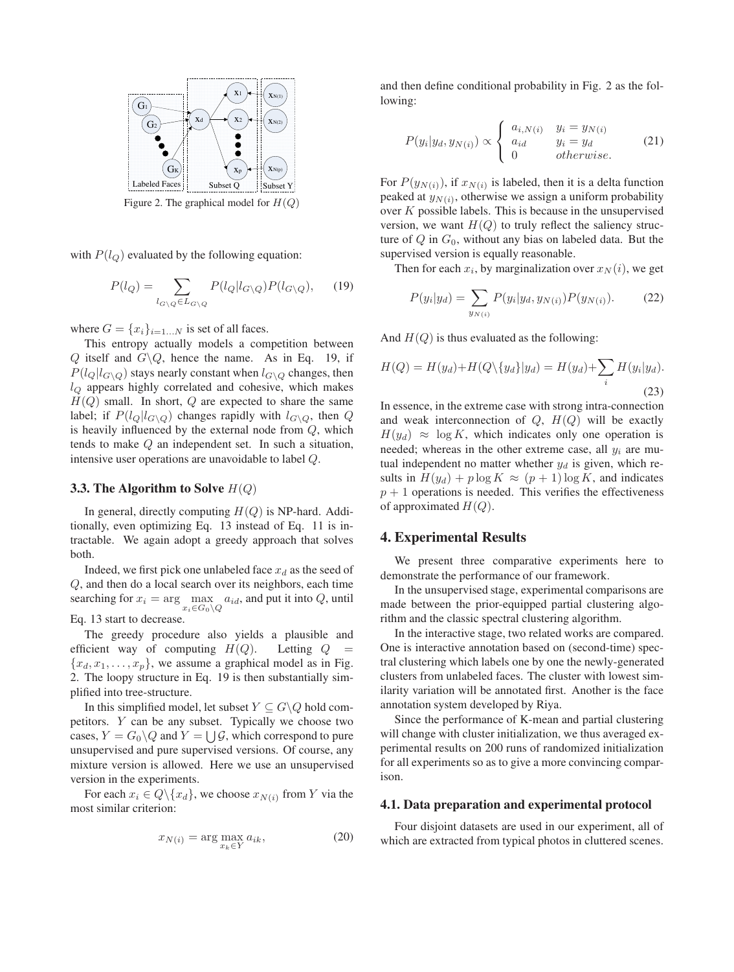

Figure 2. The graphical model for  $H(Q)$ 

with  $P(l<sub>O</sub>)$  evaluated by the following equation:

$$
P(l_Q) = \sum_{l_{G \setminus Q} \in L_{G \setminus Q}} P(l_Q | l_{G \setminus Q}) P(l_{G \setminus Q}), \quad (19)
$$

where  $G = \{x_i\}_{i=1...N}$  is set of all faces.

This entropy actually models a competition between Q itself and  $G \backslash Q$ , hence the name. As in Eq. 19, if  $P(l_Q|l_{G\setminus Q})$  stays nearly constant when  $l_{G\setminus Q}$  changes, then  $l<sub>Q</sub>$  appears highly correlated and cohesive, which makes  $H(Q)$  small. In short, Q are expected to share the same label; if  $P(l_Q|l_{G\setminus Q})$  changes rapidly with  $l_{G\setminus Q}$ , then Q is heavily influenced by the external node from Q, which tends to make Q an independent set. In such a situation, intensive user operations are unavoidable to label Q.

### **3.3. The Algorithm to Solve** H(Q)

In general, directly computing  $H(Q)$  is NP-hard. Additionally, even optimizing Eq. 13 instead of Eq. 11 is intractable. We again adopt a greedy approach that solves both.

Indeed, we first pick one unlabeled face  $x_d$  as the seed of Q, and then do a local search over its neighbors, each time searching for  $x_i = \arg \max_{x_i \in G_0 \setminus Q} a_{id}$ , and put it into Q, until

Eq. 13 start to decrease.

The greedy procedure also yields a plausible and efficient way of computing  $H(Q)$ . Letting  $Q =$  ${x_d, x_1, \ldots, x_n}$ , we assume a graphical model as in Fig. 2. The loopy structure in Eq. 19 is then substantially simplified into tree-structure.

In this simplified model, let subset  $Y \subseteq G \backslash Q$  hold competitors. Y can be any subset. Typically we choose two cases,  $Y = G_0 \backslash Q$  and  $Y = \bigcup \mathcal{G}$ , which correspond to pure unsupervised and pure supervised versions. Of course, any mixture version is allowed. Here we use an unsupervised version in the experiments.

For each  $x_i \in Q \backslash \{x_d\}$ , we choose  $x_{N(i)}$  from Y via the most similar criterion:

$$
x_{N(i)} = \arg\max_{x_k \in Y} a_{ik},\tag{20}
$$

and then define conditional probability in Fig. 2 as the following:

$$
P(y_i|y_d, y_{N(i)}) \propto \begin{cases} a_{i,N(i)} & y_i = y_{N(i)} \\ a_{id} & y_i = y_d \\ 0 & otherwise. \end{cases}
$$
 (21)

For  $P(y_{N(i)})$ , if  $x_{N(i)}$  is labeled, then it is a delta function peaked at  $y_{N(i)}$ , otherwise we assign a uniform probability over  $K$  possible labels. This is because in the unsupervised version, we want  $H(Q)$  to truly reflect the saliency structure of  $Q$  in  $G_0$ , without any bias on labeled data. But the supervised version is equally reasonable.

Then for each  $x_i$ , by marginalization over  $x_N(i)$ , we get

$$
P(y_i|y_d) = \sum_{y_{N(i)}} P(y_i|y_d, y_{N(i)}) P(y_{N(i)}).
$$
 (22)

And  $H(Q)$  is thus evaluated as the following:

$$
H(Q) = H(y_d) + H(Q \setminus \{y_d\}|y_d) = H(y_d) + \sum_i H(y_i|y_d).
$$
\n(23)

In essence, in the extreme case with strong intra-connection and weak interconnection of  $Q$ ,  $H(Q)$  will be exactly  $H(y_d) \approx \log K$ , which indicates only one operation is needed; whereas in the other extreme case, all  $y_i$  are mutual independent no matter whether  $y_d$  is given, which results in  $H(y_d) + p \log K \approx (p+1) \log K$ , and indicates  $p + 1$  operations is needed. This verifies the effectiveness of approximated  $H(Q)$ .

#### **4. Experimental Results**

We present three comparative experiments here to demonstrate the performance of our framework.

In the unsupervised stage, experimental comparisons are made between the prior-equipped partial clustering algorithm and the classic spectral clustering algorithm.

In the interactive stage, two related works are compared. One is interactive annotation based on (second-time) spectral clustering which labels one by one the newly-generated clusters from unlabeled faces. The cluster with lowest similarity variation will be annotated first. Another is the face annotation system developed by Riya.

Since the performance of K-mean and partial clustering will change with cluster initialization, we thus averaged experimental results on 200 runs of randomized initialization for all experiments so as to give a more convincing comparison.

#### **4.1. Data preparation and experimental protocol**

Four disjoint datasets are used in our experiment, all of which are extracted from typical photos in cluttered scenes.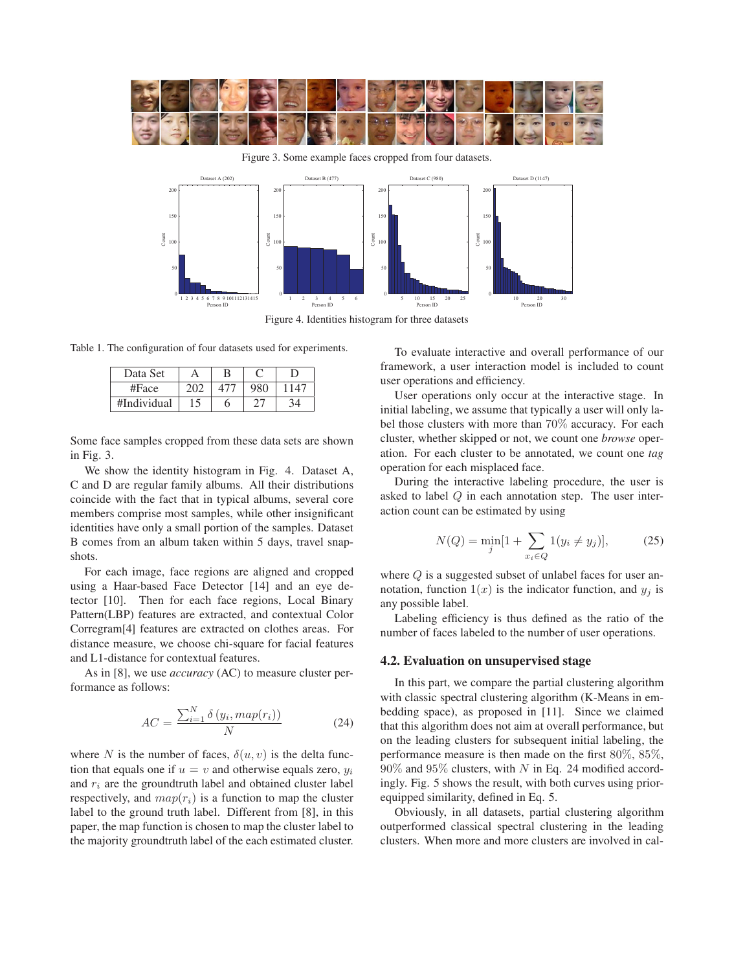

Figure 3. Some example faces cropped from four datasets.



Figure 4. Identities histogram for three datasets

Table 1. The configuration of four datasets used for experiments.

| Data Set    | В |     |
|-------------|---|-----|
| #Face       |   | 147 |
| #Individual | n |     |

Some face samples cropped from these data sets are shown in Fig. 3.

We show the identity histogram in Fig. 4. Dataset A, C and D are regular family albums. All their distributions coincide with the fact that in typical albums, several core members comprise most samples, while other insignificant identities have only a small portion of the samples. Dataset B comes from an album taken within 5 days, travel snapshots.

For each image, face regions are aligned and cropped using a Haar-based Face Detector [14] and an eye detector [10]. Then for each face regions, Local Binary Pattern(LBP) features are extracted, and contextual Color Corregram[4] features are extracted on clothes areas. For distance measure, we choose chi-square for facial features and L1-distance for contextual features.

As in [8], we use *accuracy* (AC) to measure cluster performance as follows:

$$
AC = \frac{\sum_{i=1}^{N} \delta(y_i, map(r_i))}{N}
$$
 (24)

where N is the number of faces,  $\delta(u, v)$  is the delta function that equals one if  $u = v$  and otherwise equals zero,  $y_i$ and  $r_i$  are the groundtruth label and obtained cluster label respectively, and  $map(r_i)$  is a function to map the cluster label to the ground truth label. Different from [8], in this paper, the map function is chosen to map the cluster label to the majority groundtruth label of the each estimated cluster.

To evaluate interactive and overall performance of our framework, a user interaction model is included to count user operations and efficiency.

User operations only occur at the interactive stage. In initial labeling, we assume that typically a user will only label those clusters with more than 70% accuracy. For each cluster, whether skipped or not, we count one *browse* operation. For each cluster to be annotated, we count one *tag* operation for each misplaced face.

During the interactive labeling procedure, the user is asked to label Q in each annotation step. The user interaction count can be estimated by using

$$
N(Q) = \min_{j} [1 + \sum_{x_i \in Q} 1(y_i \neq y_j)], \tag{25}
$$

where Q is a suggested subset of unlabel faces for user annotation, function  $1(x)$  is the indicator function, and  $y_i$  is any possible label.

Labeling efficiency is thus defined as the ratio of the number of faces labeled to the number of user operations.

#### **4.2. Evaluation on unsupervised stage**

In this part, we compare the partial clustering algorithm with classic spectral clustering algorithm (K-Means in embedding space), as proposed in [11]. Since we claimed that this algorithm does not aim at overall performance, but on the leading clusters for subsequent initial labeling, the performance measure is then made on the first 80%, 85%,  $90\%$  and  $95\%$  clusters, with N in Eq. 24 modified accordingly. Fig. 5 shows the result, with both curves using priorequipped similarity, defined in Eq. 5.

Obviously, in all datasets, partial clustering algorithm outperformed classical spectral clustering in the leading clusters. When more and more clusters are involved in cal-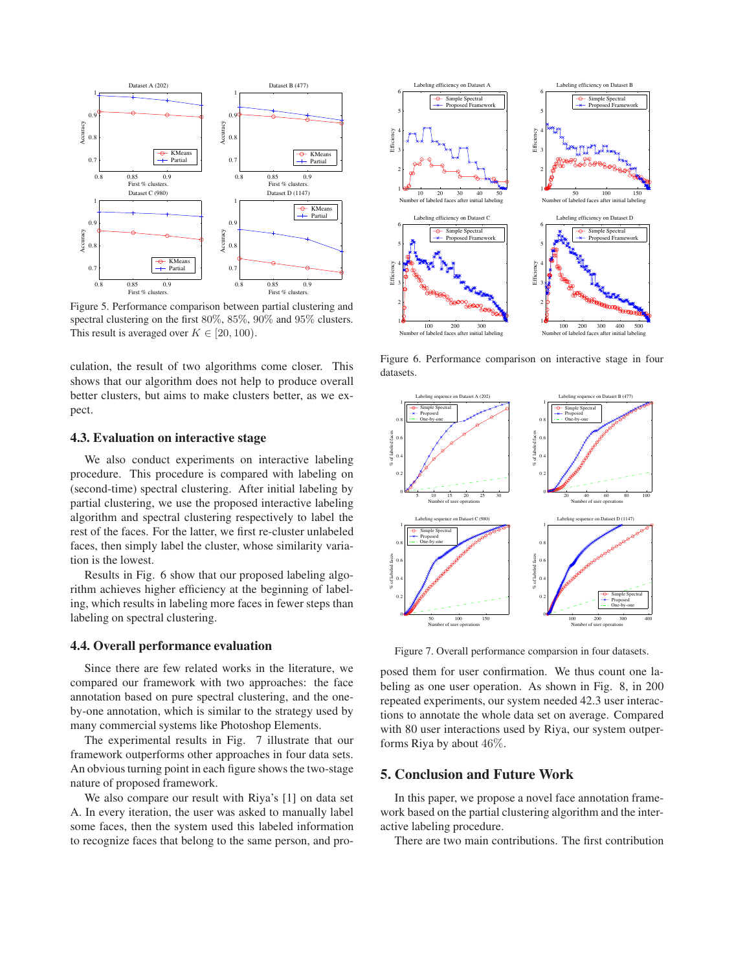

Figure 5. Performance comparison between partial clustering and spectral clustering on the first 80%, 85%, 90% and 95% clusters. This result is averaged over  $K \in [20, 100)$ .

culation, the result of two algorithms come closer. This shows that our algorithm does not help to produce overall better clusters, but aims to make clusters better, as we expect.

#### **4.3. Evaluation on interactive stage**

We also conduct experiments on interactive labeling procedure. This procedure is compared with labeling on (second-time) spectral clustering. After initial labeling by partial clustering, we use the proposed interactive labeling algorithm and spectral clustering respectively to label the rest of the faces. For the latter, we first re-cluster unlabeled faces, then simply label the cluster, whose similarity variation is the lowest.

Results in Fig. 6 show that our proposed labeling algorithm achieves higher efficiency at the beginning of labeling, which results in labeling more faces in fewer steps than labeling on spectral clustering.

#### **4.4. Overall performance evaluation**

Since there are few related works in the literature, we compared our framework with two approaches: the face annotation based on pure spectral clustering, and the oneby-one annotation, which is similar to the strategy used by many commercial systems like Photoshop Elements.

The experimental results in Fig. 7 illustrate that our framework outperforms other approaches in four data sets. An obvious turning point in each figure shows the two-stage nature of proposed framework.

We also compare our result with Riya's [1] on data set A. In every iteration, the user was asked to manually label some faces, then the system used this labeled information to recognize faces that belong to the same person, and pro-



Figure 6. Performance comparison on interactive stage in four datasets.



Figure 7. Overall performance comparsion in four datasets.

posed them for user confirmation. We thus count one labeling as one user operation. As shown in Fig. 8, in 200 repeated experiments, our system needed 42.3 user interactions to annotate the whole data set on average. Compared with 80 user interactions used by Riya, our system outperforms Riya by about 46%.

## **5. Conclusion and Future Work**

In this paper, we propose a novel face annotation framework based on the partial clustering algorithm and the interactive labeling procedure.

There are two main contributions. The first contribution